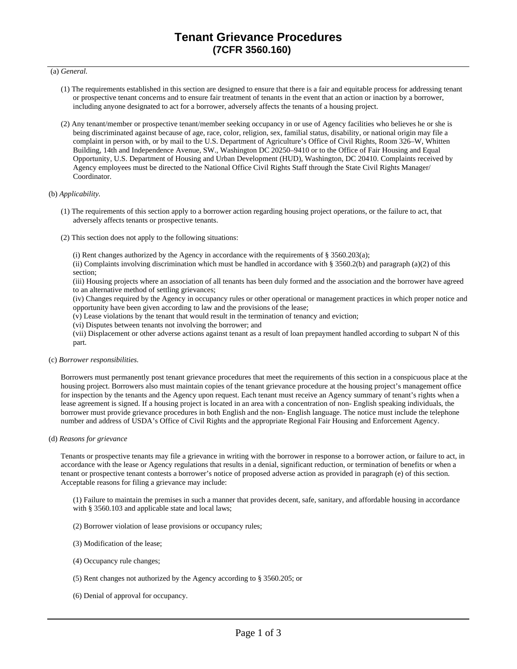## (a) *General.*

- (1) The requirements established in this section are designed to ensure that there is a fair and equitable process for addressing tenant or prospective tenant concerns and to ensure fair treatment of tenants in the event that an action or inaction by a borrower, including anyone designated to act for a borrower, adversely affects the tenants of a housing project.
- (2) Any tenant/member or prospective tenant/member seeking occupancy in or use of Agency facilities who believes he or she is being discriminated against because of age, race, color, religion, sex, familial status, disability, or national origin may file a complaint in person with, or by mail to the U.S. Department of Agriculture's Office of Civil Rights, Room 326–W, Whitten Building, 14th and Independence Avenue, SW., Washington DC 20250–9410 or to the Office of Fair Housing and Equal Opportunity, U.S. Department of Housing and Urban Development (HUD), Washington, DC 20410. Complaints received by Agency employees must be directed to the National Office Civil Rights Staff through the State Civil Rights Manager/ Coordinator.

### (b) *Applicability.*

- (1) The requirements of this section apply to a borrower action regarding housing project operations, or the failure to act, that adversely affects tenants or prospective tenants.
- (2) This section does not apply to the following situations:
	- (i) Rent changes authorized by the Agency in accordance with the requirements of  $\S 3560.203(a)$ ;

(ii) Complaints involving discrimination which must be handled in accordance with § 3560.2(b) and paragraph (a)(2) of this section;

(iii) Housing projects where an association of all tenants has been duly formed and the association and the borrower have agreed to an alternative method of settling grievances;

(iv) Changes required by the Agency in occupancy rules or other operational or management practices in which proper notice and opportunity have been given according to law and the provisions of the lease;

(v) Lease violations by the tenant that would result in the termination of tenancy and eviction;

(vi) Disputes between tenants not involving the borrower; and

(vii) Displacement or other adverse actions against tenant as a result of loan prepayment handled according to subpart N of this part.

## (c) *Borrower responsibilities.*

Borrowers must permanently post tenant grievance procedures that meet the requirements of this section in a conspicuous place at the housing project. Borrowers also must maintain copies of the tenant grievance procedure at the housing project's management office for inspection by the tenants and the Agency upon request. Each tenant must receive an Agency summary of tenant's rights when a lease agreement is signed. If a housing project is located in an area with a concentration of non- English speaking individuals, the borrower must provide grievance procedures in both English and the non- English language. The notice must include the telephone number and address of USDA's Office of Civil Rights and the appropriate Regional Fair Housing and Enforcement Agency.

(d) *Reasons for grievance* 

Tenants or prospective tenants may file a grievance in writing with the borrower in response to a borrower action, or failure to act, in accordance with the lease or Agency regulations that results in a denial, significant reduction, or termination of benefits or when a tenant or prospective tenant contests a borrower's notice of proposed adverse action as provided in paragraph (e) of this section. Acceptable reasons for filing a grievance may include:

(1) Failure to maintain the premises in such a manner that provides decent, safe, sanitary, and affordable housing in accordance with § 3560.103 and applicable state and local laws;

- (2) Borrower violation of lease provisions or occupancy rules;
- (3) Modification of the lease;
- (4) Occupancy rule changes;
- (5) Rent changes not authorized by the Agency according to § 3560.205; or
- (6) Denial of approval for occupancy.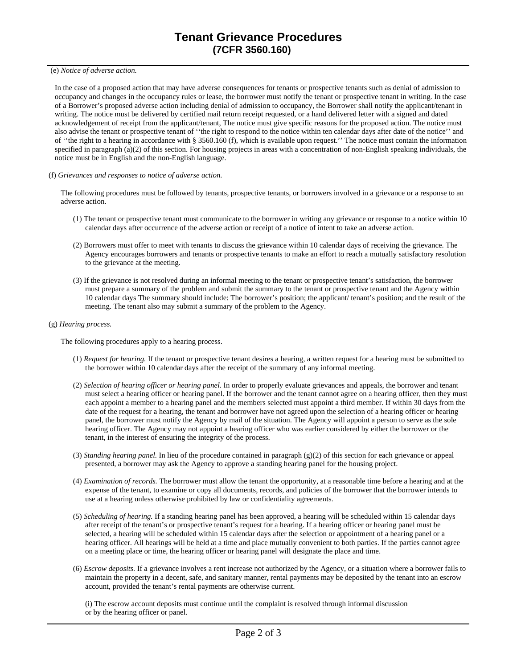(e) *Notice of adverse action.* 

In the case of a proposed action that may have adverse consequences for tenants or prospective tenants such as denial of admission to occupancy and changes in the occupancy rules or lease, the borrower must notify the tenant or prospective tenant in writing. In the case of a Borrower's proposed adverse action including denial of admission to occupancy, the Borrower shall notify the applicant/tenant in writing. The notice must be delivered by certified mail return receipt requested, or a hand delivered letter with a signed and dated acknowledgement of receipt from the applicant/tenant, The notice must give specific reasons for the proposed action. The notice must also advise the tenant or prospective tenant of ''the right to respond to the notice within ten calendar days after date of the notice'' and of ''the right to a hearing in accordance with § 3560.160 (f), which is available upon request.'' The notice must contain the information specified in paragraph (a)(2) of this section. For housing projects in areas with a concentration of non-English speaking individuals, the notice must be in English and the non-English language.

(f) *Grievances and responses to notice of adverse action.* 

The following procedures must be followed by tenants, prospective tenants, or borrowers involved in a grievance or a response to an adverse action.

- (1) The tenant or prospective tenant must communicate to the borrower in writing any grievance or response to a notice within 10 calendar days after occurrence of the adverse action or receipt of a notice of intent to take an adverse action.
- (2) Borrowers must offer to meet with tenants to discuss the grievance within 10 calendar days of receiving the grievance. The Agency encourages borrowers and tenants or prospective tenants to make an effort to reach a mutually satisfactory resolution to the grievance at the meeting.
- (3) If the grievance is not resolved during an informal meeting to the tenant or prospective tenant's satisfaction, the borrower must prepare a summary of the problem and submit the summary to the tenant or prospective tenant and the Agency within 10 calendar days The summary should include: The borrower's position; the applicant/ tenant's position; and the result of the meeting. The tenant also may submit a summary of the problem to the Agency.
- (g) *Hearing process.*

The following procedures apply to a hearing process.

- (1) *Request for hearing.* If the tenant or prospective tenant desires a hearing, a written request for a hearing must be submitted to the borrower within 10 calendar days after the receipt of the summary of any informal meeting.
- (2) *Selection of hearing officer or hearing panel.* In order to properly evaluate grievances and appeals, the borrower and tenant must select a hearing officer or hearing panel. If the borrower and the tenant cannot agree on a hearing officer, then they must each appoint a member to a hearing panel and the members selected must appoint a third member. If within 30 days from the date of the request for a hearing, the tenant and borrower have not agreed upon the selection of a hearing officer or hearing panel, the borrower must notify the Agency by mail of the situation. The Agency will appoint a person to serve as the sole hearing officer. The Agency may not appoint a hearing officer who was earlier considered by either the borrower or the tenant, in the interest of ensuring the integrity of the process.
- (3) *Standing hearing panel.* In lieu of the procedure contained in paragraph (g)(2) of this section for each grievance or appeal presented, a borrower may ask the Agency to approve a standing hearing panel for the housing project.
- (4) *Examination of records.* The borrower must allow the tenant the opportunity, at a reasonable time before a hearing and at the expense of the tenant, to examine or copy all documents, records, and policies of the borrower that the borrower intends to use at a hearing unless otherwise prohibited by law or confidentiality agreements.
- (5) *Scheduling of hearing.* If a standing hearing panel has been approved, a hearing will be scheduled within 15 calendar days after receipt of the tenant's or prospective tenant's request for a hearing. If a hearing officer or hearing panel must be selected, a hearing will be scheduled within 15 calendar days after the selection or appointment of a hearing panel or a hearing officer. All hearings will be held at a time and place mutually convenient to both parties. If the parties cannot agree on a meeting place or time, the hearing officer or hearing panel will designate the place and time.
- (6) *Escrow deposits.* If a grievance involves a rent increase not authorized by the Agency, or a situation where a borrower fails to maintain the property in a decent, safe, and sanitary manner, rental payments may be deposited by the tenant into an escrow account, provided the tenant's rental payments are otherwise current.

(i) The escrow account deposits must continue until the complaint is resolved through informal discussion or by the hearing officer or panel.